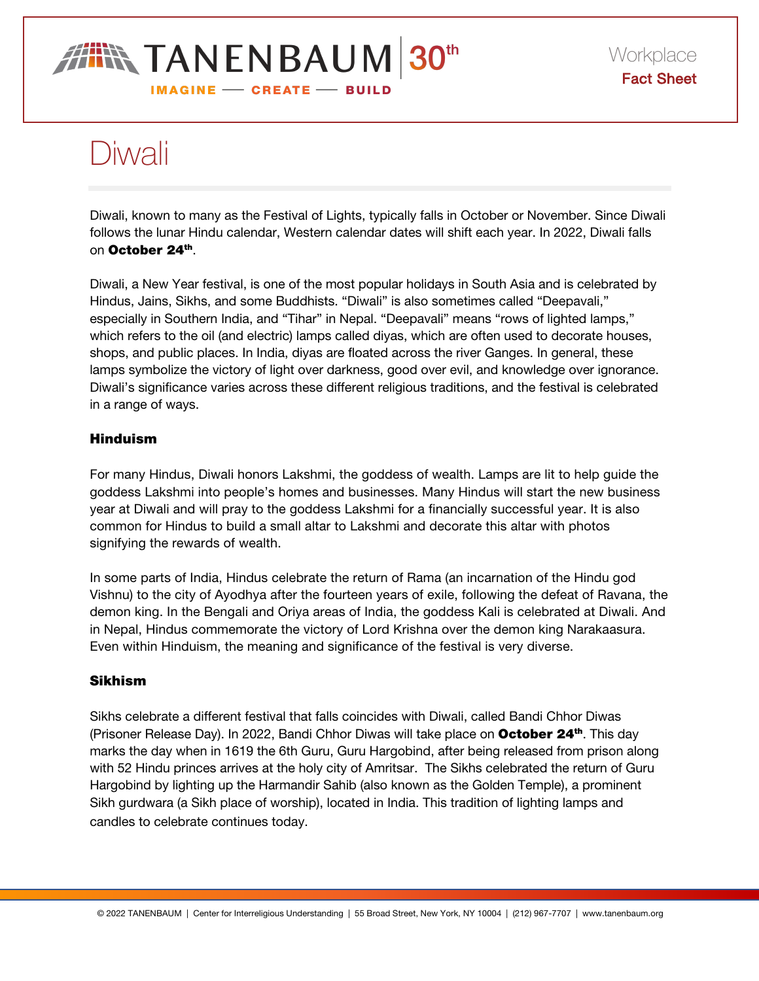# **IN TANENBAUM 30th IMAGINE - CREATE - BUILD**

# Diwali

Diwali, known to many as the Festival of Lights, typically falls in October or November. Since Diwali follows the lunar Hindu calendar, Western calendar dates will shift each year. In 2022, Diwali falls on October 24th.

Diwali, a New Year festival, is one of the most popular holidays in South Asia and is celebrated by Hindus, Jains, Sikhs, and some Buddhists. "Diwali" is also sometimes called "Deepavali," especially in Southern India, and "Tihar" in Nepal. "Deepavali" means "rows of lighted lamps," which refers to the oil (and electric) lamps called diyas, which are often used to decorate houses, shops, and public places. In India, diyas are floated across the river Ganges. In general, these lamps symbolize the victory of light over darkness, good over evil, and knowledge over ignorance. Diwali's significance varies across these different religious traditions, and the festival is celebrated in a range of ways.

# Hinduism

For many Hindus, Diwali honors Lakshmi, the goddess of wealth. Lamps are lit to help guide the goddess Lakshmi into people's homes and businesses. Many Hindus will start the new business year at Diwali and will pray to the goddess Lakshmi for a financially successful year. It is also common for Hindus to build a small altar to Lakshmi and decorate this altar with photos signifying the rewards of wealth.

In some parts of India, Hindus celebrate the return of Rama (an incarnation of the Hindu god Vishnu) to the city of Ayodhya after the fourteen years of exile, following the defeat of Ravana, the demon king. In the Bengali and Oriya areas of India, the goddess Kali is celebrated at Diwali. And in Nepal, Hindus commemorate the victory of Lord Krishna over the demon king Narakaasura. Even within Hinduism, the meaning and significance of the festival is very diverse.

## Sikhism

Sikhs celebrate a different festival that falls coincides with Diwali, called Bandi Chhor Diwas (Prisoner Release Day). In 2022, Bandi Chhor Diwas will take place on October 24<sup>th</sup>. This day marks the day when in 1619 the 6th Guru, Guru Hargobind, after being released from prison along with 52 Hindu princes arrives at the holy city of Amritsar. The Sikhs celebrated the return of Guru Hargobind by lighting up the Harmandir Sahib (also known as the Golden Temple), a prominent Sikh gurdwara (a Sikh place of worship), located in India. This tradition of lighting lamps and candles to celebrate continues today.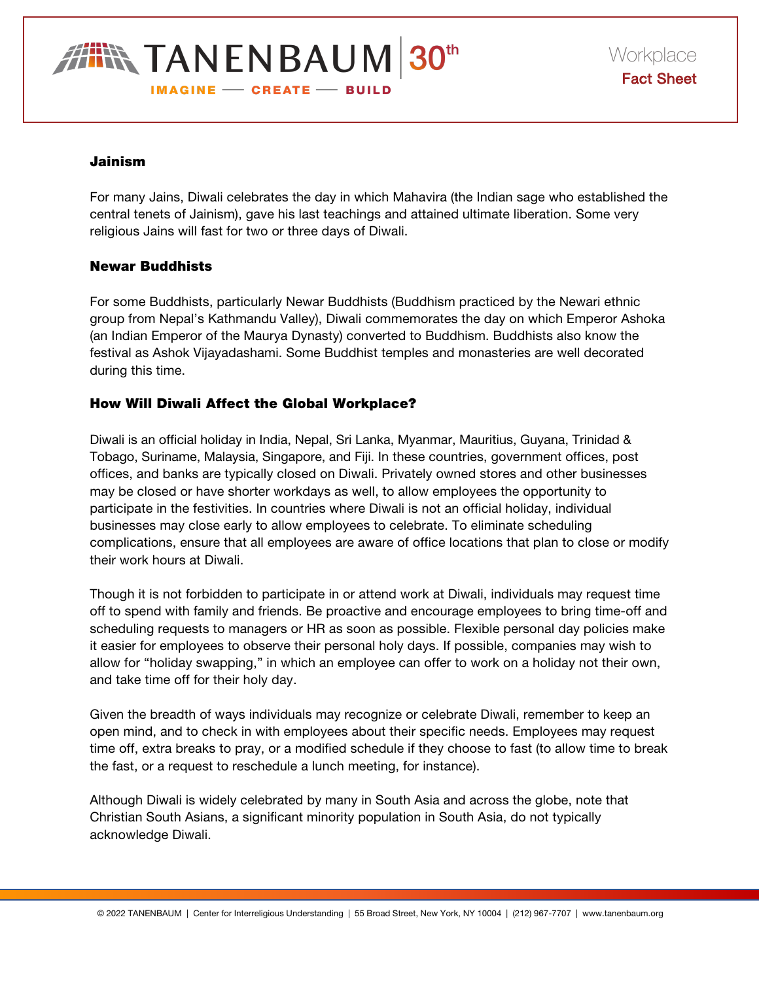**TANENBAUM 30th IMAGINE - CREATE - BUILD** 

#### Jainism

For many Jains, Diwali celebrates the day in which Mahavira (the Indian sage who established the central tenets of Jainism), gave his last teachings and attained ultimate liberation. Some very religious Jains will fast for two or three days of Diwali.

## Newar Buddhists

For some Buddhists, particularly Newar Buddhists (Buddhism practiced by the Newari ethnic group from Nepal's Kathmandu Valley), Diwali commemorates the day on which Emperor Ashoka (an Indian Emperor of the Maurya Dynasty) converted to Buddhism. Buddhists also know the festival as Ashok Vijayadashami. Some Buddhist temples and monasteries are well decorated during this time.

## How Will Diwali Affect the Global Workplace?

Diwali is an official holiday in India, Nepal, Sri Lanka, Myanmar, Mauritius, Guyana, Trinidad & Tobago, Suriname, Malaysia, Singapore, and Fiji. In these countries, government offices, post offices, and banks are typically closed on Diwali. Privately owned stores and other businesses may be closed or have shorter workdays as well, to allow employees the opportunity to participate in the festivities. In countries where Diwali is not an official holiday, individual businesses may close early to allow employees to celebrate. To eliminate scheduling complications, ensure that all employees are aware of office locations that plan to close or modify their work hours at Diwali.

Though it is not forbidden to participate in or attend work at Diwali, individuals may request time off to spend with family and friends. Be proactive and encourage employees to bring time-off and scheduling requests to managers or HR as soon as possible. Flexible personal day policies make it easier for employees to observe their personal holy days. If possible, companies may wish to allow for "holiday swapping," in which an employee can offer to work on a holiday not their own, and take time off for their holy day.

Given the breadth of ways individuals may recognize or celebrate Diwali, remember to keep an open mind, and to check in with employees about their specific needs. Employees may request time off, extra breaks to pray, or a modified schedule if they choose to fast (to allow time to break the fast, or a request to reschedule a lunch meeting, for instance).

Although Diwali is widely celebrated by many in South Asia and across the globe, note that Christian South Asians, a significant minority population in South Asia, do not typically acknowledge Diwali.